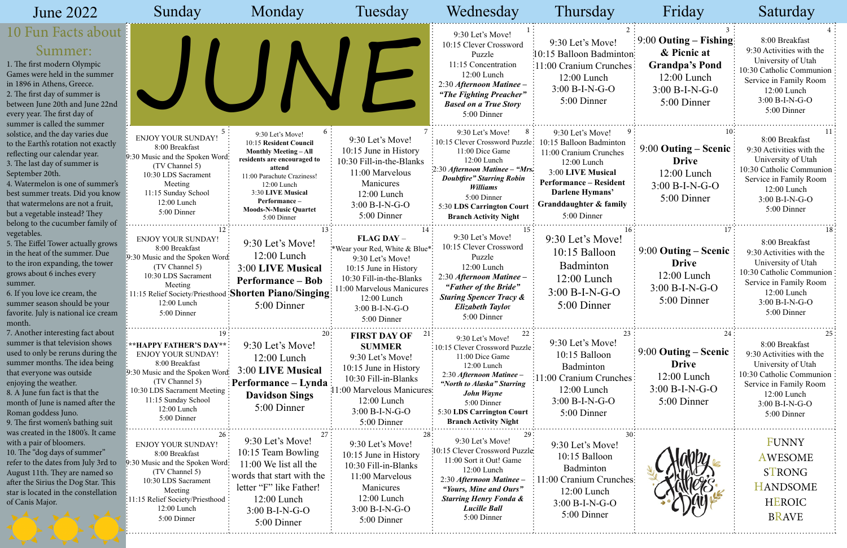| June 2022                                                                                                                                                                                                                                                                                                                                     | Sunday                                                                                                                                                                                                           | Monday                                                                                                                                                                                                                                               | Tuesday                                                                                                                                                                                              | Wednesday                                                                                                                                                                                                                                           | Thursday                                                                                                                                                                                               | Friday                                                                                                                          | Saturday                                                                                                                                                                   |
|-----------------------------------------------------------------------------------------------------------------------------------------------------------------------------------------------------------------------------------------------------------------------------------------------------------------------------------------------|------------------------------------------------------------------------------------------------------------------------------------------------------------------------------------------------------------------|------------------------------------------------------------------------------------------------------------------------------------------------------------------------------------------------------------------------------------------------------|------------------------------------------------------------------------------------------------------------------------------------------------------------------------------------------------------|-----------------------------------------------------------------------------------------------------------------------------------------------------------------------------------------------------------------------------------------------------|--------------------------------------------------------------------------------------------------------------------------------------------------------------------------------------------------------|---------------------------------------------------------------------------------------------------------------------------------|----------------------------------------------------------------------------------------------------------------------------------------------------------------------------|
| 10 Fun Facts about l<br>Summer:<br>1. The first modern Olympic<br>Games were held in the summer<br>in 1896 in Athens, Greece.<br>2. The first day of summer is<br>between June 20th and June 22nd<br>every year. The first day of<br>summer is called the summer                                                                              |                                                                                                                                                                                                                  |                                                                                                                                                                                                                                                      |                                                                                                                                                                                                      | 9:30 Let's Move!<br>10:15 Clever Crossword<br>Puzzle<br>11:15 Concentration<br>12:00 Lunch<br>2:30 Afternoon Matinee -<br>"The Fighting Preacher"<br><b>Based on a True Story</b><br>5:00 Dinner                                                    | 9:30 Let's Move!<br>10:15 Balloon Badminton:<br>11:00 Cranium Crunches:<br>$12:00$ Lunch<br>$3:00 B-I-N-G-O$<br>5:00 Dinner                                                                            | $\frac{1}{2}9:00$ Outing – Fishing:<br>& Picnic at<br><b>Grandpa's Pond</b><br>$12:00$ Lunch<br>$3:00 B-I-N-G-0$<br>5:00 Dinner | 8:00 Breakfast<br>9:30 Activities with the<br>University of Utah<br>10:30 Catholic Communion<br>Service in Family Room<br>$12:00$ Lunch<br>$3:00 B-I-N-G-O$<br>5:00 Dinner |
| solstice, and the day varies due<br>to the Earth's rotation not exactly<br>reflecting our calendar year.<br>3. The last day of summer is<br>September 20th.<br>4. Watermelon is one of summer's<br>best summer treats. Did you know<br>that watermelons are not a fruit,<br>but a vegetable instead? They<br>belong to the cucumber family of | <b>ENJOY YOUR SUNDAY!</b><br>8:00 Breakfast<br>9:30 Music and the Spoken Word:<br>(TV Channel 5)<br>10:30 LDS Sacrament<br>Meeting<br>11:15 Sunday School<br>12:00 Lunch<br>5:00 Dinner                          | 9:30 Let's Move!<br>10:15 Resident Council<br><b>Monthly Meeting - All</b><br>residents are encouraged to<br>attend<br>11:00 Parachute Craziness!<br>12:00 Lunch<br>3:30 LIVE Musical<br>Performance-<br><b>Moods-N-Music Quartet</b><br>5:00 Dinner | 9:30 Let's Move!<br>10:15 June in History<br>10:30 Fill-in-the-Blanks<br>11:00 Marvelous<br>Manicures<br>12:00 Lunch<br>3:00 B-I-N-G-O<br>5:00 Dinner                                                | 9:30 Let's Move!<br>10:15 Clever Crossword Puzzle:<br>11:00 Dice Game<br>12:00 Lunch<br>2:30 Afternoon Matinee - "Mrs."<br><b>Doubtfire" Starring Robin</b><br>Williams<br>5:00 Dinner<br>5:30 LDS Carrington Court<br><b>Branch Activity Night</b> | 9:30 Let's Move!<br>10:15 Balloon Badminton<br>11:00 Cranium Crunches<br>12:00 Lunch<br>3:00 LIVE Musical<br><b>Performance – Resident</b><br>Darlene Hymans'<br>Granddaughter & family<br>5:00 Dinner | $9:00$ Outing – Scenic<br><b>Drive</b><br>$12:00$ Lunch<br>$3:00 B-I-N-G-O$<br>5:00 Dinner                                      | 8:00 Breakfast<br>9:30 Activities with the<br>University of Utah<br>10:30 Catholic Communion<br>Service in Family Room<br>12:00 Lunch<br>$3:00 B-I-N-G-O$<br>5:00 Dinner   |
| vegetables.<br>5. The Eiffel Tower actually grows<br>in the heat of the summer. Due<br>to the iron expanding, the tower<br>grows about 6 inches every<br>summer.<br>6. If you love ice cream, the<br>summer season should be your<br>favorite. July is national ice cream<br>month.                                                           | <b>ENJOY YOUR SUNDAY!</b><br>8:00 Breakfast<br>9:30 Music and the Spoken Word:<br>(TV Channel 5)<br>10:30 LDS Sacrament<br>Meeting<br>11:15 Relief Society/Priesthood<br>12:00 Lunch<br>5:00 Dinner              | 9:30 Let's Move!<br>$12:00$ Lunch<br>3:00 LIVE Musical<br><b>Performance – Bob</b><br><b>Shorten Piano/Singing</b><br>5:00 Dinner                                                                                                                    | FLAG DAY -<br>*Wear your Red, White & Blue*:<br>9:30 Let's Move!<br>10:15 June in History<br>10:30 Fill-in-the-Blanks<br>11:00 Marvelous Manicures<br>12:00 Lunch<br>$3:00 B-I-N-G-O$<br>5:00 Dinner | 9:30 Let's Move!<br>10:15 Clever Crossword<br>Puzzle<br>12:00 Lunch<br>2:30 Afternoon Matinee -<br>"Father of the Bride"<br><b>Staring Spencer Tracy &amp;</b><br>Elizabeth Taylor<br>5:00 Dinner                                                   | 9:30 Let's Move!<br>10:15 Balloon<br>Badminton<br>$12:00$ Lunch<br>$3:00 B-I-N-G-O$<br>5:00 Dinner                                                                                                     | $9:00$ Outing – Scenic<br><b>Drive</b><br>12:00 Lunch<br>$3:00 B-I-N-G-O$<br>5:00 Dinner                                        | 8:00 Breakfast<br>9:30 Activities with the<br>University of Utah<br>10:30 Catholic Communion<br>Service in Family Room<br>12:00 Lunch<br>$3:00 B-I-N-G-O$<br>5:00 Dinner   |
| 7. Another interesting fact about<br>summer is that television shows<br>used to only be reruns during the<br>summer months. The idea being<br>that everyone was outside<br>enjoying the weather.<br>8. A June fun fact is that the<br>month of June is named after the<br>Roman goddess Juno.<br>9. The first women's bathing suit            | :**HAPPY FATHER'S DAY**<br><b>ENJOY YOUR SUNDAY!</b><br>8:00 Breakfast<br>9:30 Music and the Spoken Word-<br>(TV Channel 5)<br>10:30 LDS Sacrament Meeting:<br>11:15 Sunday School<br>12:00 Lunch<br>5:00 Dinner | 9:30 Let's Move!<br>$12:00$ Lunch<br>3:00 LIVE Musical<br>$\frac{1}{2}$ Performance – Lynda $\frac{1}{2}$<br><b>Davidson Sings</b><br>5:00 Dinner                                                                                                    | 21,<br><b>FIRST DAY OF</b><br><b>SUMMER</b><br>9:30 Let's Move!<br>10:15 June in History<br>10:30 Fill-in-Blanks<br>11:00 Marvelous Manicures:<br>12:00 Lunch<br>$3:00 B-I-N-G-O$<br>5:00 Dinner     | 9:30 Let's Move!<br>:10:15 Clever Crossword Puzzle<br>11:00 Dice Game<br>12:00 Lunch<br>2:30 Afternoon Matinee -<br>"North to Alaska" Starring<br>John Wayne<br>5:00 Dinner<br>5:30 LDS Carrington Court<br><b>Branch Activity Night</b>            | 9:30 Let's Move!<br>10:15 Balloon<br>Badminton<br>11:00 Cranium Crunches:<br>12:00 Lunch<br>$3:00 B-I-N-G-O$<br>5:00 Dinner                                                                            | 24<br>$9:00$ Outing – Scenic<br><b>Drive</b><br>$12:00$ Lunch<br>$3:00 B-I-N-G-O$<br>5:00 Dinner                                | 8:00 Breakfast<br>9:30 Activities with the<br>University of Utah<br>10:30 Catholic Communion<br>Service in Family Room<br>12:00 Lunch<br>3:00 B-I-N-G-O<br>5:00 Dinner     |
| was created in the 1800's. It came<br>with a pair of bloomers.<br>10. The "dog days of summer"<br>refer to the dates from July 3rd to<br>August 11th. They are named so<br>after the Sirius the Dog Star. This<br>star is located in the constellation<br>of Canis Major.                                                                     | 26.<br><b>ENJOY YOUR SUNDAY!</b><br>8:00 Breakfast<br>9:30 Music and the Spoken Word:<br>(TV Channel 5)<br>10:30 LDS Sacrament<br>Meeting<br>11:15 Relief Society/Priesthood:<br>12:00 Lunch<br>5:00 Dinner      | 9:30 Let's Move!<br>10:15 Team Bowling<br>11:00 We list all the<br>words that start with the<br>letter "F" like Father!<br>12:00 Lunch<br>$3:00 B-I-N-G-O$<br>5:00 Dinner                                                                            | 9:30 Let's Move!<br>10:15 June in History<br>10:30 Fill-in-Blanks<br>11:00 Marvelous<br>Manicures<br>12:00 Lunch<br>$3:00 B-I-N-G-O$<br>5:00 Dinner                                                  | 9:30 Let's Move!<br>:10:15 Clever Crossword Puzzle<br>11:00 Sort it Out! Game<br>12:00 Lunch<br>2:30 Afternoon Matinee -<br>"Yours, Mine and Ours"<br><b>Starring Henry Fonda &amp;</b><br><b>Lucille Ball</b><br>5:00 Dinner                       | 9:30 Let's Move!<br>10:15 Balloon<br>Badminton<br>11:00 Cranium Crunches:<br>$12:00$ Lunch<br>$3:00 B-I-N-G-O$<br>5:00 Dinner                                                                          |                                                                                                                                 | <b>FUNNY</b><br><b>AWESOME</b><br>STRONG<br><b>HANDSOME</b><br><b>HEROIC</b><br><b>BRAVE</b>                                                                               |

|                                      | <b>Friday</b>                                                                                                             | Saturday                                                                                                                                                                       |
|--------------------------------------|---------------------------------------------------------------------------------------------------------------------------|--------------------------------------------------------------------------------------------------------------------------------------------------------------------------------|
| $\overline{2}$<br>ton:<br><b>nes</b> | 3<br>$9:00$ Outing – Fishing:<br>& Picnic at<br><b>Grandpa's Pond</b><br>$12:00$ Lunch<br>$3:00 B-I-N-G-0$<br>5:00 Dinner | 4<br>8:00 Breakfast<br>9:30 Activities with the<br>University of Utah<br>10:30 Catholic Communion<br>Service in Family Room<br>12:00 Lunch<br>3:00 B-I-N-G-O<br>5:00 Dinner    |
| 9<br>n<br>S<br>ıt<br>ly              | 10<br>9:00 Outing – Scenic<br><b>Drive</b><br>12:00 Lunch<br>$3:00 B-I-N-G-O$<br>5:00 Dinner<br>.                         | 11<br>8:00 Breakfast<br>9:30 Activities with the<br>University of Utah<br>10:30 Catholic Communion<br>Service in Family Room<br>12:00 Lunch<br>3:00 B-I-N-G-O<br>5:00 Dinner   |
| 16                                   | 17<br>$9:00$ Outing – Scenic<br><b>Drive</b><br>12:00 Lunch<br>$3:00 B-I-N-G-O$<br>5:00 Dinner                            | 18<br>8:00 Breakfast<br>9:30 Activities with the<br>University of Utah<br>10:30 Catholic Communion<br>Service in Family Room<br>12:00 Lunch<br>$3:00 B-I-N-G-O$<br>5:00 Dinner |
| 23<br><b>nes</b>                     | 24<br>9:00 Outing – Scenic<br><b>Drive</b><br>$12:00$ Lunch<br>$3:00 B-I-N-G-O$<br>5:00 Dinner                            | 25<br>8:00 Breakfast<br>9:30 Activities with the<br>University of Utah<br>10:30 Catholic Communion<br>Service in Family Room<br>12:00 Lunch<br>3:00 B-I-N-G-O<br>5:00 Dinner   |
| 30<br>hes                            |                                                                                                                           | <b>FUNNY</b><br><b>AWESOME</b><br>STRONG<br><b>HANDSOME</b><br><b>HEROIC</b><br><b>BRAVE</b>                                                                                   |